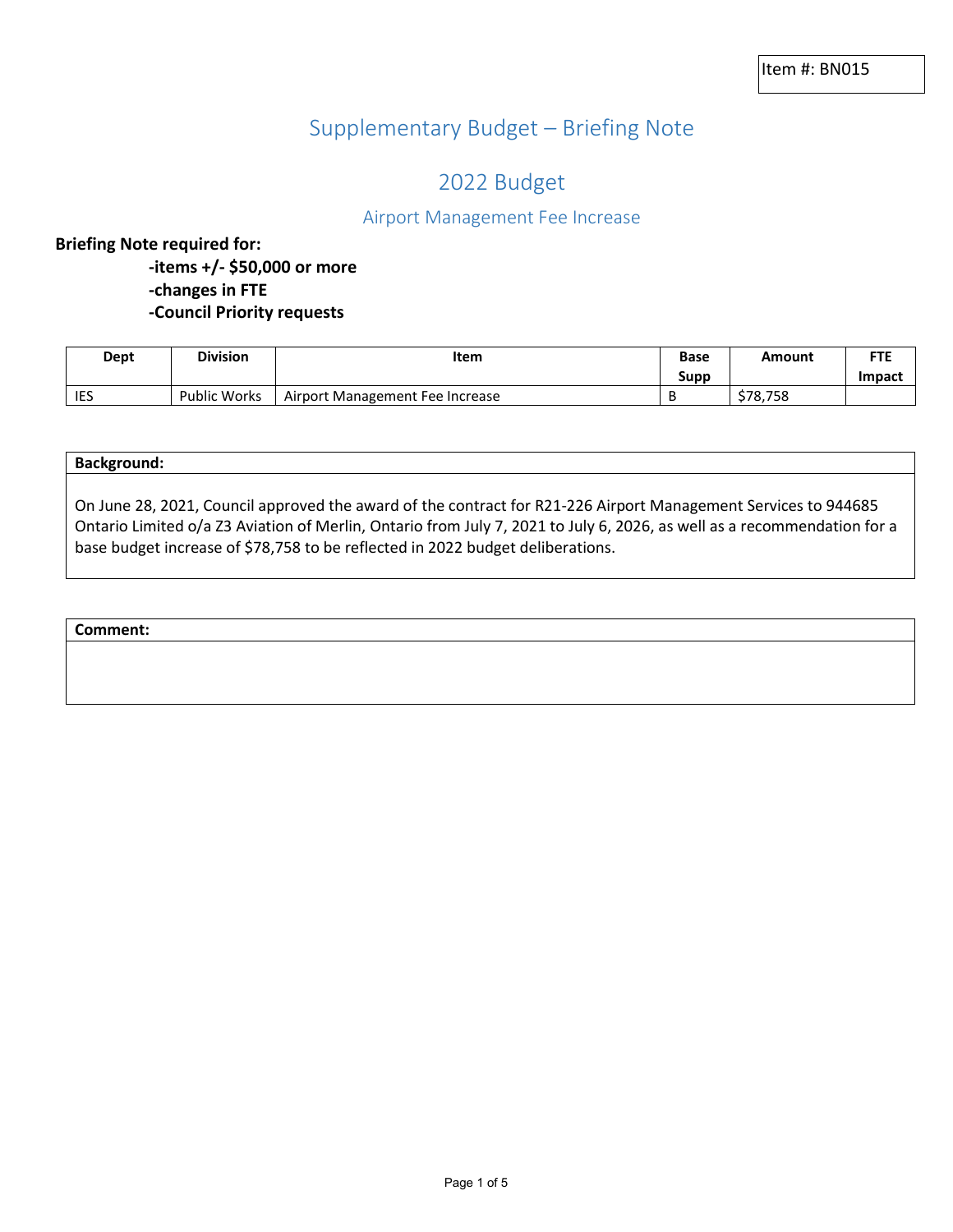# Supplementary Budget – Briefing Note

## 2022 Budget

## Airport Management Fee Increase

#### **Briefing Note required for:**

**-items +/- \$50,000 or more -changes in FTE -Council Priority requests**

| Dept       | <b>Division</b>     | Item                            | Base | Amount   | ETE           |
|------------|---------------------|---------------------------------|------|----------|---------------|
|            |                     |                                 | Supp |          | <b>Impact</b> |
| <b>IES</b> | <b>Public Works</b> | Airport Management Fee Increase |      | \$78.758 |               |

On June 28, 2021, Council approved the award of the contract for R21-226 Airport Management Services to 944685 Ontario Limited o/a Z3 Aviation of Merlin, Ontario from July 7, 2021 to July 6, 2026, as well as a recommendation for a base budget increase of \$78,758 to be reflected in 2022 budget deliberations.

#### **Comment:**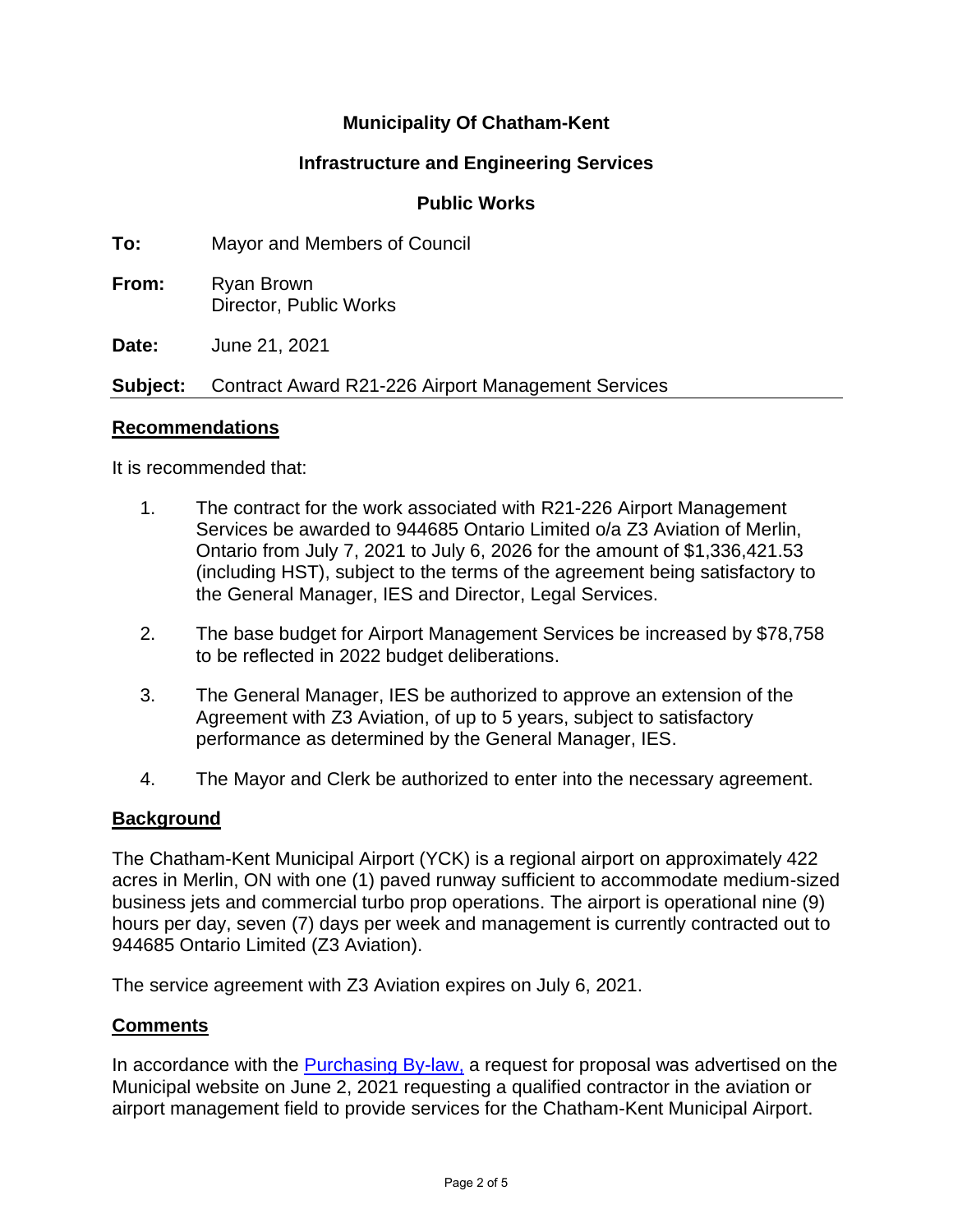## **Municipality Of Chatham-Kent**

## **Infrastructure and Engineering Services**

## **Public Works**

**To:** Mayor and Members of Council

**From:** Ryan Brown Director, Public Works

**Date:** June 21, 2021

**Subject:** Contract Award R21-226 Airport Management Services

## **Recommendations**

It is recommended that:

- 1. The contract for the work associated with R21-226 Airport Management Services be awarded to 944685 Ontario Limited o/a Z3 Aviation of Merlin, Ontario from July 7, 2021 to July 6, 2026 for the amount of \$1,336,421.53 (including HST), subject to the terms of the agreement being satisfactory to the General Manager, IES and Director, Legal Services.
- 2. The base budget for Airport Management Services be increased by \$78,758 to be reflected in 2022 budget deliberations.
- 3. The General Manager, IES be authorized to approve an extension of the Agreement with Z3 Aviation, of up to 5 years, subject to satisfactory performance as determined by the General Manager, IES.
- 4. The Mayor and Clerk be authorized to enter into the necessary agreement.

## **Background**

The Chatham-Kent Municipal Airport (YCK) is a regional airport on approximately 422 acres in Merlin, ON with one (1) paved runway sufficient to accommodate medium-sized business jets and commercial turbo prop operations. The airport is operational nine (9) hours per day, seven (7) days per week and management is currently contracted out to 944685 Ontario Limited (Z3 Aviation).

The service agreement with Z3 Aviation expires on July 6, 2021.

## **Comments**

In accordance with the [Purchasing By-law,](https://www.chatham-kent.ca/businessArea/Documents/By-law%20166-2020%20%20Procurement%20of%20Goods%20and%20Services.pdf) a request for proposal was advertised on the Municipal website on June 2, 2021 requesting a qualified contractor in the aviation or airport management field to provide services for the Chatham-Kent Municipal Airport.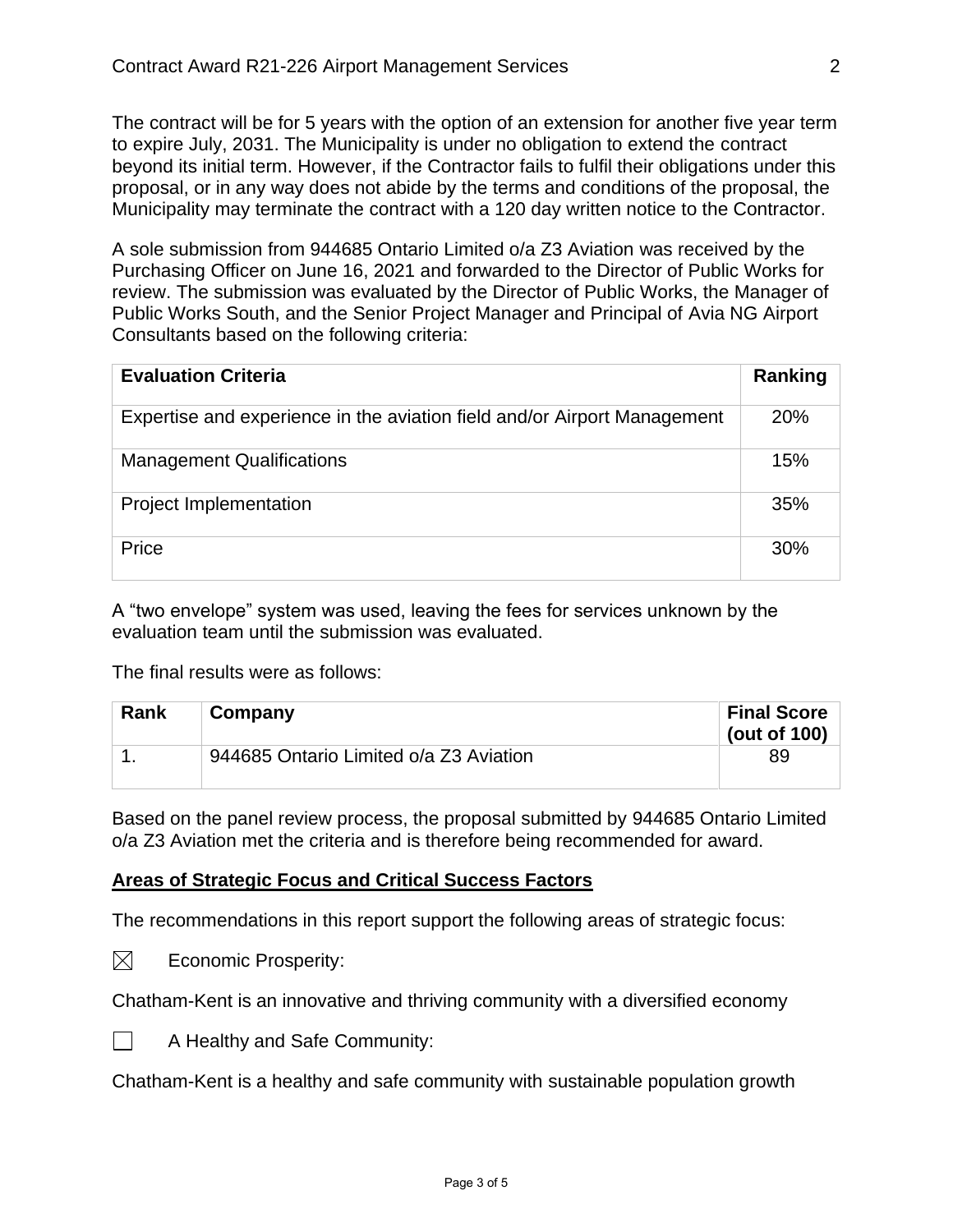The contract will be for 5 years with the option of an extension for another five year term to expire July, 2031. The Municipality is under no obligation to extend the contract beyond its initial term. However, if the Contractor fails to fulfil their obligations under this proposal, or in any way does not abide by the terms and conditions of the proposal, the Municipality may terminate the contract with a 120 day written notice to the Contractor.

A sole submission from 944685 Ontario Limited o/a Z3 Aviation was received by the Purchasing Officer on June 16, 2021 and forwarded to the Director of Public Works for review. The submission was evaluated by the Director of Public Works, the Manager of Public Works South, and the Senior Project Manager and Principal of Avia NG Airport Consultants based on the following criteria:

| <b>Evaluation Criteria</b>                                               | Ranking    |
|--------------------------------------------------------------------------|------------|
| Expertise and experience in the aviation field and/or Airport Management | <b>20%</b> |
| <b>Management Qualifications</b>                                         | 15%        |
| <b>Project Implementation</b>                                            | 35%        |
| Price                                                                    | 30%        |

A "two envelope" system was used, leaving the fees for services unknown by the evaluation team until the submission was evaluated.

The final results were as follows:

| Rank | Company                                | <b>Final Score</b><br>(out of $100$ ) |
|------|----------------------------------------|---------------------------------------|
|      | 944685 Ontario Limited o/a Z3 Aviation | 89                                    |

Based on the panel review process, the proposal submitted by 944685 Ontario Limited o/a Z3 Aviation met the criteria and is therefore being recommended for award.

## **Areas of Strategic Focus and Critical Success Factors**

The recommendations in this report support the following areas of strategic focus:

 $\boxtimes$ Economic Prosperity:

Chatham-Kent is an innovative and thriving community with a diversified economy



A Healthy and Safe Community:

Chatham-Kent is a healthy and safe community with sustainable population growth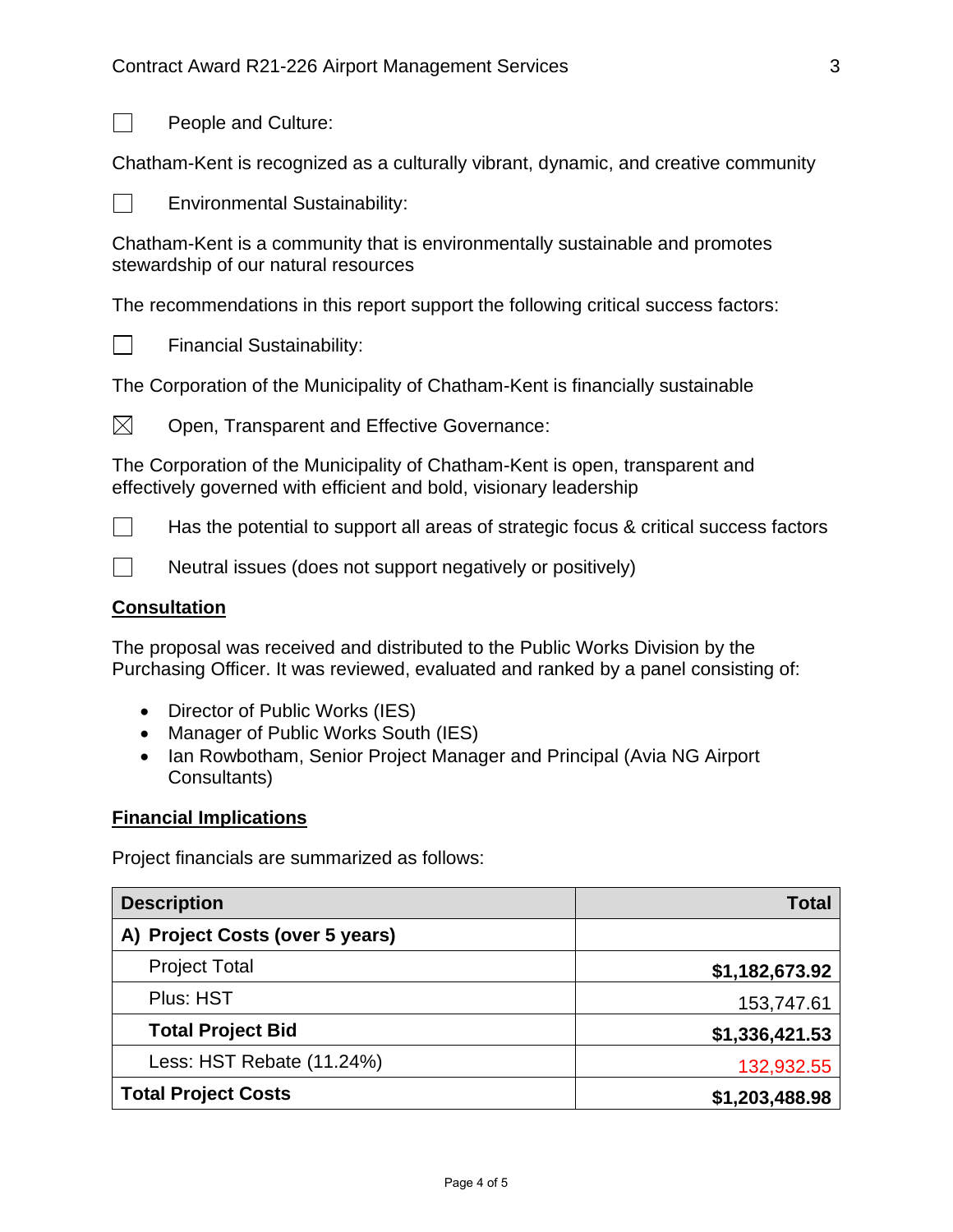

People and Culture:

Chatham-Kent is recognized as a culturally vibrant, dynamic, and creative community

 $\Box$ 

Environmental Sustainability:

Chatham-Kent is a community that is environmentally sustainable and promotes stewardship of our natural resources

The recommendations in this report support the following critical success factors:



Financial Sustainability:

The Corporation of the Municipality of Chatham-Kent is financially sustainable



Open, Transparent and Effective Governance:

The Corporation of the Municipality of Chatham-Kent is open, transparent and effectively governed with efficient and bold, visionary leadership

 $\Box$ Has the potential to support all areas of strategic focus & critical success factors

 $\Box$ Neutral issues (does not support negatively or positively)

## **Consultation**

The proposal was received and distributed to the Public Works Division by the Purchasing Officer. It was reviewed, evaluated and ranked by a panel consisting of:

- Director of Public Works (IES)
- Manager of Public Works South (IES)
- Ian Rowbotham, Senior Project Manager and Principal (Avia NG Airport Consultants)

## **Financial Implications**

Project financials are summarized as follows:

| <b>Description</b>              | <b>Total</b>   |
|---------------------------------|----------------|
| A) Project Costs (over 5 years) |                |
| <b>Project Total</b>            | \$1,182,673.92 |
| Plus: HST                       | 153,747.61     |
| <b>Total Project Bid</b>        | \$1,336,421.53 |
| Less: HST Rebate (11.24%)       | 132,932.55     |
| <b>Total Project Costs</b>      | \$1,203,488.98 |